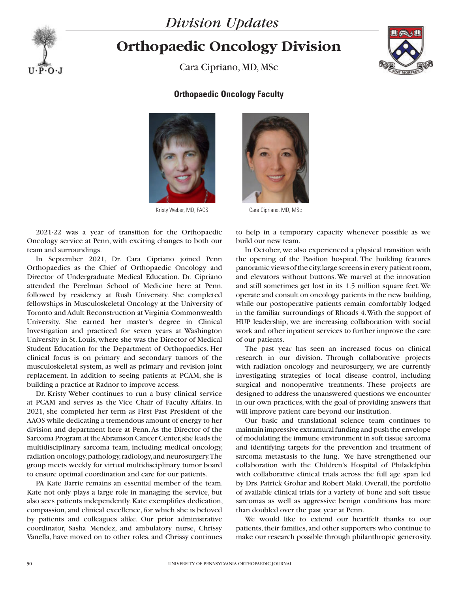



## **Orthopaedic Oncology Division**

Cara Cipriano, MD, MSc



## **Orthopaedic Oncology Faculty**



2021-22 was a year of transition for the Orthopaedic Oncology service at Penn, with exciting changes to both our team and surroundings.

In September 2021, Dr. Cara Cipriano joined Penn Orthopaedics as the Chief of Orthopaedic Oncology and Director of Undergraduate Medical Education. Dr. Cipriano attended the Perelman School of Medicine here at Penn, followed by residency at Rush University. She completed fellowships in Musculoskeletal Oncology at the University of Toronto and Adult Reconstruction at Virginia Commonwealth University. She earned her master's degree in Clinical Investigation and practiced for seven years at Washington University in St. Louis, where she was the Director of Medical Student Education for the Department of Orthopaedics. Her clinical focus is on primary and secondary tumors of the musculoskeletal system, as well as primary and revision joint replacement. In addition to seeing patients at PCAM, she is building a practice at Radnor to improve access.

Dr. Kristy Weber continues to run a busy clinical service at PCAM and serves as the Vice Chair of Faculty Affairs. In 2021, she completed her term as First Past President of the AAOS while dedicating a tremendous amount of energy to her division and department here at Penn. As the Director of the Sarcoma Program at the Abramson Cancer Center, she leads the multidisciplinary sarcoma team, including medical oncology, radiation oncology, pathology, radiology, and neurosurgery. The group meets weekly for virtual multidisciplinary tumor board to ensure optimal coordination and care for our patients.

PA Kate Barrie remains an essential member of the team. Kate not only plays a large role in managing the service, but also sees patients independently. Kate exemplifies dedication, compassion, and clinical excellence, for which she is beloved by patients and colleagues alike. Our prior administrative coordinator, Sasha Mendez, and ambulatory nurse, Chrissy Vanella, have moved on to other roles, and Chrissy continues



Kristy Weber, MD, FACS Cara Cipriano, MD, MSc

to help in a temporary capacity whenever possible as we build our new team.

In October, we also experienced a physical transition with the opening of the Pavilion hospital. The building features panoramic views of the city, large screens in every patient room, and elevators without buttons. We marvel at the innovation and still sometimes get lost in its 1.5 million square feet. We operate and consult on oncology patients in the new building, while our postoperative patients remain comfortably lodged in the familiar surroundings of Rhoads 4. With the support of HUP leadership, we are increasing collaboration with social work and other inpatient services to further improve the care of our patients.

The past year has seen an increased focus on clinical research in our division. Through collaborative projects with radiation oncology and neurosurgery, we are currently investigating strategies of local disease control, including surgical and nonoperative treatments. These projects are designed to address the unanswered questions we encounter in our own practices, with the goal of providing answers that will improve patient care beyond our institution.

Our basic and translational science team continues to maintain impressive extramural funding and push the envelope of modulating the immune environment in soft tissue sarcoma and identifying targets for the prevention and treatment of sarcoma metastasis to the lung. We have strengthened our collaboration with the Children's Hospital of Philadelphia with collaborative clinical trials across the full age span led by Drs. Patrick Grohar and Robert Maki. Overall, the portfolio of available clinical trials for a variety of bone and soft tissue sarcomas as well as aggressive benign conditions has more than doubled over the past year at Penn.

We would like to extend our heartfelt thanks to our patients, their families, and other supporters who continue to make our research possible through philanthropic generosity.